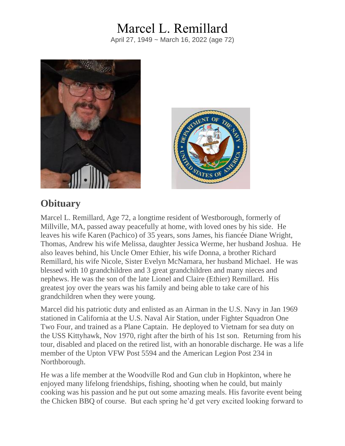## Marcel L. Remillard

April 27, 1949 ~ March 16, 2022 (age 72)





## **Obituary**

Marcel L. Remillard, Age 72, a longtime resident of Westborough, formerly of Millville, MA, passed away peacefully at home, with loved ones by his side. He leaves his wife Karen (Pachico) of 35 years, sons James, his fiancée Diane Wright, Thomas, Andrew his wife Melissa, daughter Jessica Werme, her husband Joshua. He also leaves behind, his Uncle Omer Ethier, his wife Donna, a brother Richard Remillard, his wife Nicole, Sister Evelyn McNamara, her husband Michael. He was blessed with 10 grandchildren and 3 great grandchildren and many nieces and nephews. He was the son of the late Lionel and Claire (Ethier) Remillard. His greatest joy over the years was his family and being able to take care of his grandchildren when they were young.

Marcel did his patriotic duty and enlisted as an Airman in the U.S. Navy in Jan 1969 stationed in California at the U.S. Naval Air Station, under Fighter Squadron One Two Four, and trained as a Plane Captain. He deployed to Vietnam for sea duty on the USS Kittyhawk, Nov 1970, right after the birth of his 1st son. Returning from his tour, disabled and placed on the retired list, with an honorable discharge. He was a life member of the Upton VFW Post 5594 and the American Legion Post 234 in Northborough.

He was a life member at the Woodville Rod and Gun club in Hopkinton, where he enjoyed many lifelong friendships, fishing, shooting when he could, but mainly cooking was his passion and he put out some amazing meals. His favorite event being the Chicken BBQ of course. But each spring he'd get very excited looking forward to